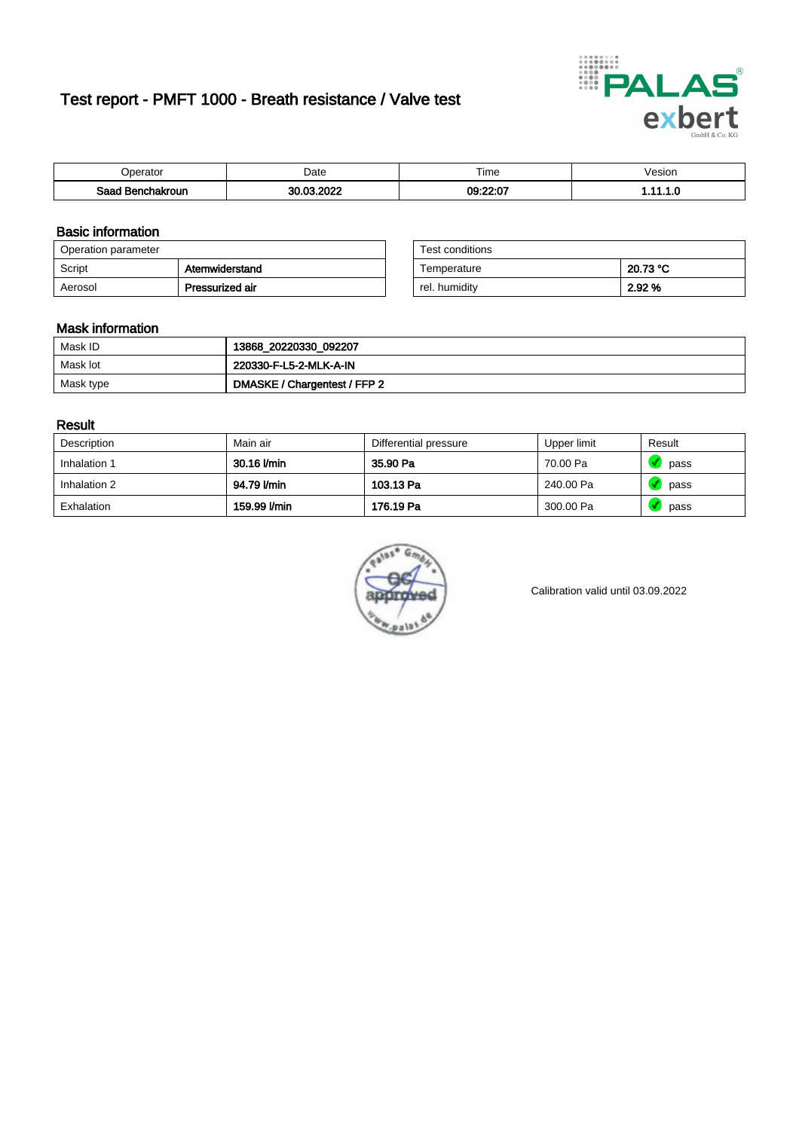# Test report - PMFT 1000 - Breath resistance / Valve test



| 'perator         | Date       | $- \cdot$<br>Fime | /esion   |
|------------------|------------|-------------------|----------|
| Saad Benchakroun | 30.03.2022 | 09:22:07          | .<br>. . |

### Basic information

| Operation parameter |                 | Test conditions |          |
|---------------------|-----------------|-----------------|----------|
| Script              | Atemwiderstand  | Temperature     | 20.73 °C |
| Aerosol             | Pressurized air | rel. humidity   | 2.92 %   |

| Test conditions |          |
|-----------------|----------|
| Temperature     | 20.73 °C |
| rel. humidity   | 2.92 %   |

### Mask information

| Mask ID   | 13868_20220330_092207        |
|-----------|------------------------------|
| Mask lot  | 220330-F-L5-2-MLK-A-IN       |
| Mask type | DMASKE / Chargentest / FFP 2 |

### Result

| Description  | Main air     | Differential pressure | Upper limit | Result |
|--------------|--------------|-----------------------|-------------|--------|
| Inhalation 1 | 30.16 l/min  | 35.90 Pa              | 70.00 Pa    | pass   |
| Inhalation 2 | 94.79 l/min  | 103.13 Pa             | 240.00 Pa   | pass   |
| Exhalation   | 159.99 l/min | 176.19 Pa             | 300.00 Pa   | pass   |



Calibration valid until 03.09.2022